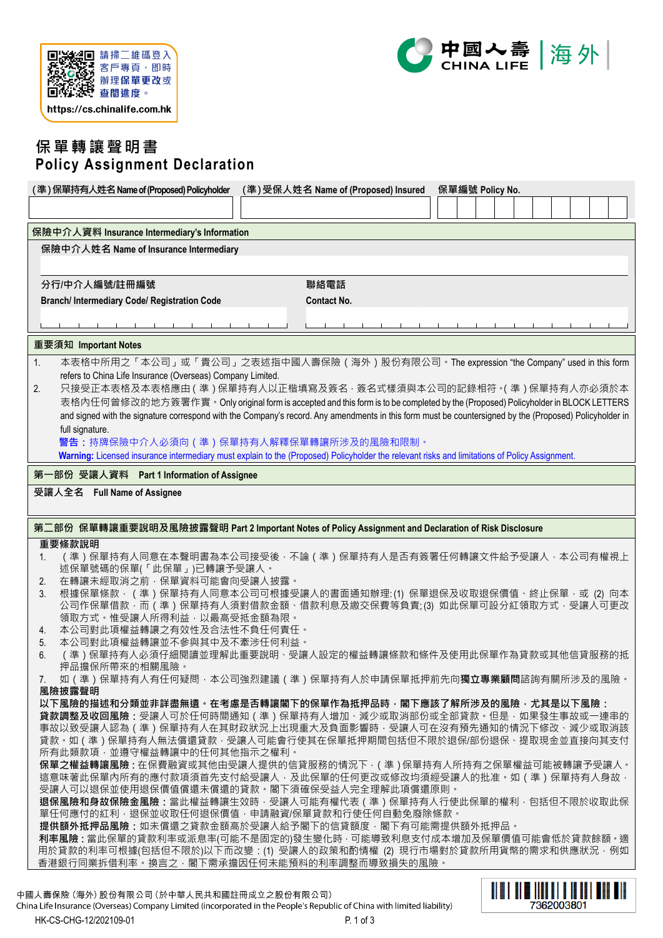



# **保單轉讓聲明書 Policy Assignment Declaration**

|                                                                                                                                                                                                                                                                                            | (準) 受保人姓名 Name of (Proposed) Insured |  | 保單編號 Policy No. |  |  |
|--------------------------------------------------------------------------------------------------------------------------------------------------------------------------------------------------------------------------------------------------------------------------------------------|--------------------------------------|--|-----------------|--|--|
|                                                                                                                                                                                                                                                                                            |                                      |  |                 |  |  |
| 保險中介人資料 Insurance Intermediary's Information                                                                                                                                                                                                                                               |                                      |  |                 |  |  |
| 保險中介人姓名 Name of Insurance Intermediary                                                                                                                                                                                                                                                     |                                      |  |                 |  |  |
|                                                                                                                                                                                                                                                                                            |                                      |  |                 |  |  |
| 分行/中介人編號/註冊編號                                                                                                                                                                                                                                                                              | 聯絡電話                                 |  |                 |  |  |
| <b>Branch/Intermediary Code/Registration Code</b>                                                                                                                                                                                                                                          | <b>Contact No.</b>                   |  |                 |  |  |
|                                                                                                                                                                                                                                                                                            |                                      |  |                 |  |  |
| 重要須知 Important Notes                                                                                                                                                                                                                                                                       |                                      |  |                 |  |  |
| 本表格中所用之「本公司」或「貴公司」之表述指中國人壽保險 ( 海外 ) 股份有限公司 · The expression "the Company" used in this form<br>1.                                                                                                                                                                                          |                                      |  |                 |  |  |
| refers to China Life Insurance (Overseas) Company Limited.                                                                                                                                                                                                                                 |                                      |  |                 |  |  |
| 只接受正本表格及本表格應由(準)保單持有人以正楷填寫及簽名 · 簽名式樣須與本公司的記錄相符 •( 準 )保單持有人亦必須於本<br>2.                                                                                                                                                                                                                      |                                      |  |                 |  |  |
| 表格内任何曾修改的地方簽署作實。Only original form is accepted and this form is to be completed by the (Proposed) Policyholder in BLOCK LETTERS<br>and signed with the signature correspond with the Company's record. Any amendments in this form must be countersigned by the (Proposed) Policyholder in |                                      |  |                 |  |  |
| full signature.                                                                                                                                                                                                                                                                            |                                      |  |                 |  |  |
| 警告:持牌保險中介人必須向(準)保單持有人解釋保單轉讓所涉及的風險和限制。                                                                                                                                                                                                                                                      |                                      |  |                 |  |  |
| Warning: Licensed insurance intermediary must explain to the (Proposed) Policyholder the relevant risks and limitations of Policy Assignment.                                                                                                                                              |                                      |  |                 |  |  |
| 第一部份 受讓人資料 Part 1 Information of Assignee                                                                                                                                                                                                                                                  |                                      |  |                 |  |  |
| 受讓人全名 Full Name of Assignee                                                                                                                                                                                                                                                                |                                      |  |                 |  |  |
| 第二部份 保單轉讓重要說明及風險披露聲明 Part 2 Important Notes of Policy Assignment and Declaration of Risk Disclosure                                                                                                                                                                                        |                                      |  |                 |  |  |
| 重要條款說明                                                                                                                                                                                                                                                                                     |                                      |  |                 |  |  |
| (準)保單持有人同意在本聲明書為本公司接受後·不論(準)保單持有人是否有簽署任何轉讓文件給予受讓人·本公司有權視上<br>1.                                                                                                                                                                                                                            |                                      |  |                 |  |  |
|                                                                                                                                                                                                                                                                                            |                                      |  |                 |  |  |
| 述保單號碼的保單(「此保單」)已轉讓予受讓人。<br>在轉讓未經取消之前,保單資料可能會向受讓人披露。<br>2.                                                                                                                                                                                                                                  |                                      |  |                 |  |  |
| 根據保單條款 · (準)保單持有人同意本公司可根據受讓人的書面通知辦理:(1)保單退保及收取退保價值、終止保單 · 或 (2) 向本<br>3.                                                                                                                                                                                                                   |                                      |  |                 |  |  |
| 公司作保單借款 · 而(準)保單持有人須對借款金額、借款利息及繳交保費等負責;(3) 如此保單可設分紅領取方式 · 受讓人可更改                                                                                                                                                                                                                           |                                      |  |                 |  |  |
| 領取方式。惟受讓人所得利益,以最高受抵金額為限。<br>本公司對此項權益轉讓之有效性及合法性不負任何責任。<br>4.                                                                                                                                                                                                                                |                                      |  |                 |  |  |
| 本公司對此項權益轉讓並不參與其中及不牽涉任何利益。<br>5.                                                                                                                                                                                                                                                            |                                      |  |                 |  |  |
| (準)保單持有人必須仔細閱讀並理解此重要說明、受讓人設定的權益轉讓條款和條件及使用此保單作為貸款或其他信貸服務的抵<br>6.<br>押品擔保所帶來的相關風險。                                                                                                                                                                                                           |                                      |  |                 |  |  |
| 如(準)保單持有人有任何疑問 · 本公司強烈建議(準)保單持有人於申請保單抵押前先向 <b>獨立專業顧問</b> 諮詢有關所涉及的風險 <sup>。</sup><br>$\mathcal{L}$ .                                                                                                                                                                                        |                                      |  |                 |  |  |
| 風險披露聲明                                                                                                                                                                                                                                                                                     |                                      |  |                 |  |  |
| 以下風險的描述和分類並非詳盡無遺。在考慮是否轉讓閣下的保單作為抵押品時,閣下應該了解所涉及的風險,尤其是以下風險:<br>貸款調整及收回風險:受讓人可於任何時間通知 ( 準 ) 保單持有人增加、減少或取消部份或全部貸款。但是, 如果發生事故或一連串的                                                                                                                                                              |                                      |  |                 |  |  |
| 事故以致受讓人認為(準)保單持有人在其財政狀況上出現重大及負面影響時,受讓人可在沒有預先通知的情況下修改、減少或取消該                                                                                                                                                                                                                                |                                      |  |                 |  |  |
| 貸款。如(準)保單持有人無法償還貸款,受讓人可能會行使其在保單抵押期間包括但不限於退保/部份退保、提取現金並直接向其支付                                                                                                                                                                                                                               |                                      |  |                 |  |  |
| 所有此類款項,並遵守權益轉讓中的任何其他指示之權利。<br>保單之權益轉讓風險 : 在保費融資或其他由受讓人提供的信貸服務的情況下 ·(準)保單持有人所持有之保單權益可能被轉讓予受讓人 。                                                                                                                                                                                             |                                      |  |                 |  |  |
| 這意味著此保單內所有的應付款項須首先支付給受讓人‧及此保單的任何更改或修改均須經受讓人的批准。如(準)保單持有人身故‧                                                                                                                                                                                                                                |                                      |  |                 |  |  |
| 受讓人可以退保並使用退保價值償還未償還的貸款。閣下須確保受益人完全理解此項償還原則。<br>退保風險和身故保險金風險:當此權益轉讓生效時 · 受讓人可能有權代表 ( 準 ) 保單持有人行使此保單的權利 · 包括但不限於收取此保                                                                                                                                                                          |                                      |  |                 |  |  |
| 單任何應付的紅利,退保並收取任何退保價值,申請融資/保單貸款和行使任何自動免廢除條款。                                                                                                                                                                                                                                                |                                      |  |                 |  |  |
| 提供額外抵押品風險:如未償還之貸款金額高於受讓人給予閣下的信貸額度,閣下有可能需提供額外抵押品。                                                                                                                                                                                                                                           |                                      |  |                 |  |  |
| 利率風險 : 當此保單的貸款利率或派息率(可能不是固定的)發生變化時 · 可能導致利息支付成本增加及保單價值可能會低於貸款餘額 · 適<br>用於貸款的利率可根據(包括但不限於)以下而改變:(1) 受讓人的政策和酌情權 (2) 現行市場對於貸款所用貨幣的需求和供應狀況 · 例如                                                                                                                                                |                                      |  |                 |  |  |
| 香港銀行同業拆借利率。換言之·閣下需承擔因任何未能預料的利率調整而導致損失的風險。                                                                                                                                                                                                                                                  |                                      |  |                 |  |  |
| 國人壽保險 (海外) 股份有限公司 (於中華人民共和國註冊成立之股份有限公司)                                                                                                                                                                                                                                                    |                                      |  |                 |  |  |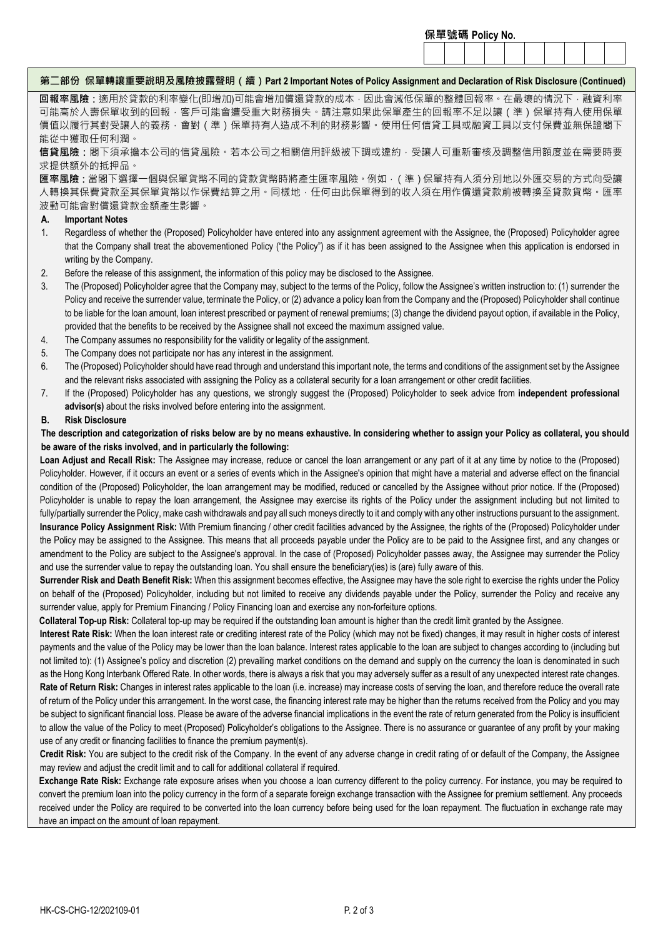#### **保單號碼 Policy No.**

## **第二部份 保單轉讓重要說明及風險披露聲明(續)Part 2 Important Notes of Policy Assignment and Declaration of Risk Disclosure (Continued)**

**回報率風險:**適用於貸款的利率變化(即增加)可能會增加償還貸款的成本,因此會減低保單的整體回報率。在最壞的情況下,融資利率 可能高於人壽保單收到的回報,客戶可能會遭受重大財務損失。請注意如果此保單產生的回報率不足以讓(準)保單持有人使用保單 價值以履行其對受讓人的義務‧會對(準)保單持有人造成不利的財務影響。使用任何信貸工具或融資工具以支付保費並無保證閣下 能從中獲取任何利潤。

**信貸風險:**閣下須承擔本公司的信貸風險。若本公司之相關信用評級被下調或違約,受讓人可重新審核及調整信用額度並在需要時要 求提供額外的抵押品。

**匯率風險:**當閣下選擇一個與保單貨幣不同的貸款貨幣時將產生匯率風險。例如,(準)保單持有人須分別地以外匯交易的方式向受讓 人轉換其保費貸款至其保單貨幣以作保費結算之用。同樣地,任何由此保單得到的收入須在用作償還貸款前被轉換至貸款貨幣。匯率 波動可能會對償還貸款金額產生影響。

### **A. Important Notes**

- 1. Regardless of whether the (Proposed) Policyholder have entered into any assignment agreement with the Assignee, the (Proposed) Policyholder agree that the Company shall treat the abovementioned Policy ("the Policy") as if it has been assigned to the Assignee when this application is endorsed in writing by the Company.
- 2. Before the release of this assignment, the information of this policy may be disclosed to the Assignee.
- 3. The (Proposed) Policyholder agree that the Company may, subject to the terms of the Policy, follow the Assignee's written instruction to: (1) surrender the Policy and receive the surrender value, terminate the Policy, or (2) advance a policy loan from the Company and the (Proposed) Policyholder shall continue to be liable for the loan amount, loan interest prescribed or payment of renewal premiums; (3) change the dividend payout option, if available in the Policy, provided that the benefits to be received by the Assignee shall not exceed the maximum assigned value.
- 4. The Company assumes no responsibility for the validity or legality of the assignment.
- 5. The Company does not participate nor has any interest in the assignment.
- 6. The (Proposed) Policyholder should have read through and understand this important note, the terms and conditions of the assignment set by the Assignee and the relevant risks associated with assigning the Policy as a collateral security for a loan arrangement or other credit facilities.
- 7. If the (Proposed) Policyholder has any questions, we strongly suggest the (Proposed) Policyholder to seek advice from **independent professional advisor(s)** about the risks involved before entering into the assignment.

## **B. Risk Disclosure**

## **The description and categorization of risks below are by no means exhaustive. In considering whether to assign your Policy as collateral, you should be aware of the risks involved, and in particularly the following:**

**Loan Adjust and Recall Risk:** The Assignee may increase, reduce or cancel the loan arrangement or any part of it at any time by notice to the (Proposed) Policyholder. However, if it occurs an event or a series of events which in the Assignee's opinion that might have a material and adverse effect on the financial condition of the (Proposed) Policyholder, the loan arrangement may be modified, reduced or cancelled by the Assignee without prior notice. If the (Proposed) Policyholder is unable to repay the loan arrangement, the Assignee may exercise its rights of the Policy under the assignment including but not limited to fully/partially surrender the Policy, make cash withdrawals and pay all such moneys directly to it and comply with any other instructions pursuant to the assignment. **Insurance Policy Assignment Risk:** With Premium financing / other credit facilities advanced by the Assignee, the rights of the (Proposed) Policyholder under the Policy may be assigned to the Assignee. This means that all proceeds payable under the Policy are to be paid to the Assignee first, and any changes or amendment to the Policy are subject to the Assignee's approval. In the case of (Proposed) Policyholder passes away, the Assignee may surrender the Policy and use the surrender value to repay the outstanding loan. You shall ensure the beneficiary(ies) is (are) fully aware of this.

**Surrender Risk and Death Benefit Risk:** When this assignment becomes effective, the Assignee may have the sole right to exercise the rights under the Policy on behalf of the (Proposed) Policyholder, including but not limited to receive any dividends payable under the Policy, surrender the Policy and receive any surrender value, apply for Premium Financing / Policy Financing loan and exercise any non-forfeiture options.

**Collateral Top-up Risk:** Collateral top-up may be required if the outstanding loan amount is higher than the credit limit granted by the Assignee.

**Interest Rate Risk:** When the loan interest rate or crediting interest rate of the Policy (which may not be fixed) changes, it may result in higher costs of interest payments and the value of the Policy may be lower than the loan balance. Interest rates applicable to the loan are subject to changes according to (including but not limited to): (1) Assignee's policy and discretion (2) prevailing market conditions on the demand and supply on the currency the loan is denominated in such as the Hong Kong Interbank Offered Rate. In other words, there is always a risk that you may adversely suffer as a result of any unexpected interest rate changes. Rate of Return Risk: Changes in interest rates applicable to the loan (i.e. increase) may increase costs of serving the loan, and therefore reduce the overall rate of return of the Policy under this arrangement. In the worst case, the financing interest rate may be higher than the returns received from the Policy and you may be subject to significant financial loss. Please be aware of the adverse financial implications in the event the rate of return generated from the Policy is insufficient to allow the value of the Policy to meet (Proposed) Policyholder's obligations to the Assignee. There is no assurance or guarantee of any profit by your making use of any credit or financing facilities to finance the premium payment(s).

**Credit Risk:** You are subject to the credit risk of the Company. In the event of any adverse change in credit rating of or default of the Company, the Assignee may review and adjust the credit limit and to call for additional collateral if required.

**Exchange Rate Risk:** Exchange rate exposure arises when you choose a loan currency different to the policy currency. For instance, you may be required to convert the premium loan into the policy currency in the form of a separate foreign exchange transaction with the Assignee for premium settlement. Any proceeds received under the Policy are required to be converted into the loan currency before being used for the loan repayment. The fluctuation in exchange rate may have an impact on the amount of loan repayment.